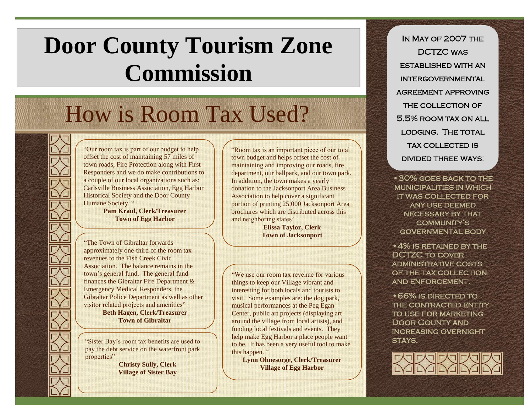## **Door County Tourism Zone Commission**

## How is Room Tax Used?

"Our room tax is part of our budget to help offset the cost of maintaining 57 miles of town roads, Fire Protection along with First Responders and we do make contributions to a couple of our local organizations such as: Carlsville Business Association, Egg Harbor Historical Society and the Door County Humane Society. "

> **Pam Kraul, Clerk/Treasurer Town of Egg Harbor**

"The Town of Gibraltar forwards approximately one-third of the room tax revenues to the Fish Creek Civic Association. The balance remains in the town's general fund. The general fund finances the Gibraltar Fire Department & Emergency Medical Responders, the Gibraltar Police Department as well as other visitor related projects and amenities" **Beth Hagen, Clerk/Treasurer**

**Town of Gibraltar**

"Sister Bay's room tax benefits are used to pay the debt service on the waterfront park properties"

> **Christy Sully, Clerk Village of Sister Bay**

"Room tax is an important piece of our total town budget and helps offset the cost of maintaining and improving our roads, fire department, our ballpark, and our town park. In addition, the town makes a yearly donation to the Jacksonport Area Business Association to help cover a significant portion of printing 25,000 Jacksonport Area brochures which are distributed across this and neighboring states"

> **Elissa Taylor, Clerk Town of Jacksonport**

"We use our room tax revenue for various things to keep our Village vibrant and interesting for both locals and tourists to visit. Some examples are: the dog park, musical performances at the Peg Egan Center, public art projects (displaying art around the village from local artists), and funding local festivals and events. They help make Egg Harbor a place people want to be. It has been a very useful tool to make this happen. "

**Lynn Ohnesorge, Clerk/Treasurer Village of Egg Harbor**

In May of 2007 the DCTZC was established with an intergovernmental agreement approving THE COLLECTION OF 5.5% room tax on all lodging. The total tax collected is divided three ways:

•30% goes back to the municipalities in which it was collected for any use deemed necessary by that community's governmental body

•4% is retained by the DCTZC to cover administrative costs of the tax collection and enforcement.

•66% is directed to the contracted entity to use for marketing Door County and increasing overnight STAYS.